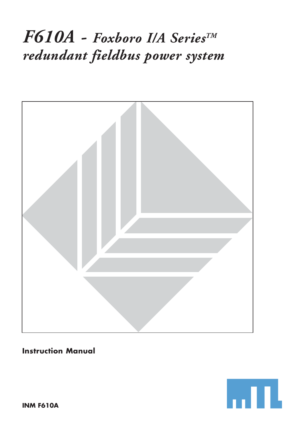# *F610A - Foxboro I/A SeriesTM redundant fieldbus power system*



## **Instruction Manual**

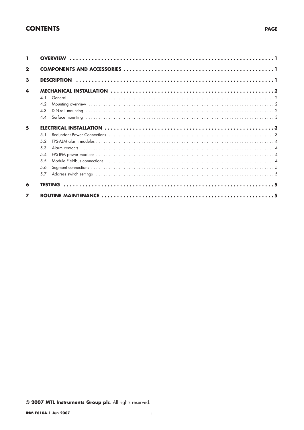## **CONTENTS**

| $\mathbf{2}$   |                 |                                                                                                                                                                                                                                |  |  |  |  |  |  |
|----------------|-----------------|--------------------------------------------------------------------------------------------------------------------------------------------------------------------------------------------------------------------------------|--|--|--|--|--|--|
| 3              |                 |                                                                                                                                                                                                                                |  |  |  |  |  |  |
| 4              |                 |                                                                                                                                                                                                                                |  |  |  |  |  |  |
|                | 4.1             |                                                                                                                                                                                                                                |  |  |  |  |  |  |
|                | 4.2             |                                                                                                                                                                                                                                |  |  |  |  |  |  |
|                | 4.3             |                                                                                                                                                                                                                                |  |  |  |  |  |  |
|                | 44              |                                                                                                                                                                                                                                |  |  |  |  |  |  |
| 5              |                 |                                                                                                                                                                                                                                |  |  |  |  |  |  |
|                | 5 <sub>1</sub>  |                                                                                                                                                                                                                                |  |  |  |  |  |  |
|                | 52              |                                                                                                                                                                                                                                |  |  |  |  |  |  |
|                | 53              |                                                                                                                                                                                                                                |  |  |  |  |  |  |
|                | $5\,\mathrm{4}$ |                                                                                                                                                                                                                                |  |  |  |  |  |  |
|                | 5.5             |                                                                                                                                                                                                                                |  |  |  |  |  |  |
|                | 56              |                                                                                                                                                                                                                                |  |  |  |  |  |  |
|                | 5.7             | Address switch settings witch is a state of the control of the control of the control of the control of the control of the control of the control of the control of the control of the control of the control of the control o |  |  |  |  |  |  |
| 6              |                 |                                                                                                                                                                                                                                |  |  |  |  |  |  |
| $\overline{ }$ |                 |                                                                                                                                                                                                                                |  |  |  |  |  |  |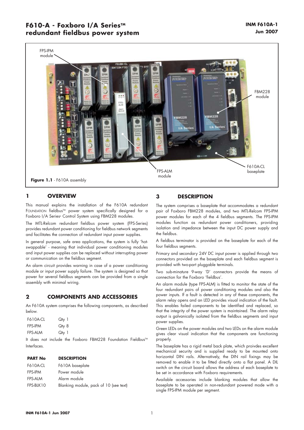## **F610-A - Foxboro I/A Series™ redundant fieldbus power system**



## **1 OVERVIEW**

This manual explains the installation of the F610A redundant FOUNDATION fieldbusTM power system specifically designed for a Foxboro I/A Series® Control System using FBM228 modules.

The MTL-Relcom redundant fieldbus power system (FPS-Series) provides redundant power conditioning for fieldbus network segments and facilitates the connection of redundant input power supplies.

In general purpose, safe area applications, the system is fully 'hotswappable' - meaning that individual power conditioning modules and input power supplies can be replaced without interrupting power or communication on the fieldbus segment.

An alarm circuit provides warning in case of a power conditioning module or input power supply failure. The system is designed so that power for several fieldbus segments can be provided from a single assembly with minimal wiring.

## **2 COMPONENTS AND ACCESSORIES**

An F610A system comprises the following components, as described below.

| <b>F610A-CL</b> | Qty 1 |
|-----------------|-------|
| <b>FPS-IPM</b>  | Qty 8 |
| <b>FPS-ALM</b>  | Qty 1 |

It does not include the Foxboro FBM228 Foundation Fieldbus™ Interfaces.

## **PART No DESCRIPTION**

| F610A-CL       | F610A baseplate                        |
|----------------|----------------------------------------|
| <b>FPS-IPM</b> | Power module                           |
| FPS-ALM        | Alarm module                           |
| FPS-BLK10      | Blanking module, pack of 10 (see text) |

## **3 DESCRIPTION**

The system comprises a baseplate that accommodates a redundant pair of Foxboro FBM228 modules, and two MTL-Relcom FPS-IPM power modules for each of the 4 fieldbus segments. The FPS-IPM modules function as redundant power conditioners, providing isolation and impedance between the input DC power supply and the fieldbus.

A fieldbus terminator is provided on the baseplate for each of the four fieldbus segments.

Primary and secondary 24V DC input power is applied through two connectors provided on the baseplate and each fieldbus segment is provided with two-part pluggable terminals.

Two sub-minature 9-way 'D' connectors provide the means of connection for the Foxboro 'fieldbus'.

An alarm module (type FPS-ALM) is fitted to monitor the state of the four redundant pairs of power conditioning modules and also the power inputs. If a fault is detected in any of these components, the alarm relay opens and an LED provides visual indication of the fault. This enables failed components to be identified and replaced, so that the integrity of the power system is maintained. The alarm relay output is galvanically isolated from the fieldbus segments and input power supplies.

Green LEDs on the power modules and two LEDs on the alarm module gives clear visual indication that the components are functioning properly.

The baseplate has a rigid metal back plate, which proivdes excellent mechanical security and is supplied ready to be mounted onto horizontal DIN rails. Alternatively, the DIN rail fixings may be removed to enable it to be fitted directly onto a flat panel. A DIL switch on the circuit board allows the address of each baseplate to be set in accordance with Foxboro requirements.

Available accessories include blanking modules that allow the baseplate to be operated in non-redundant powered mode with a single FPS-IPM module per segment.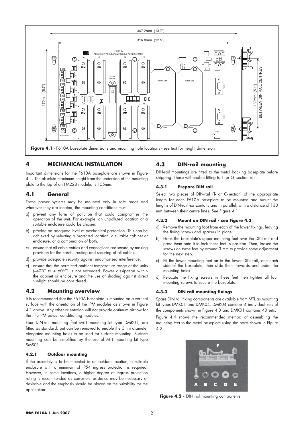

## **4 MECHANICAL INSTALLATION**

Important dimensions for the F610A baseplate are shown in Figure 4.1. The absolute maximum height from the underside of the mounting plate to the top of an FM228 module, is 155mm.

## **4.1 General**

These power systems may be mounted only in safe areas and wherever they are located, the mounting conditions must:

- a) prevent any form of pollution that could compromise the operation of the unit. For example, an unpolluted location or a suitable enclosure could be chosen.
- b) provide an adequate level of mechanical protection. This can be achieved by selecting a protected location, a suitable cabinet or enclosure, or a combination of both.
- c) ensure that all cable entries and connections are secure by making provision for the careful routing and securing of all cables.
- d) provide adequate security against unauthorised interference.
- e) ensure that the permitted ambient temperature range of the units (–40°C to + 60°C) is not exceeded. Power dissipation within the cabinet or enclosure and the use of shading against direct sunlight should be considered.

## **4.2 Mounting overview**

It is recommended that the F610A baseplate is mounted on a vertical surface with the orientation of the IPM modules as shown in Figure 4.1 above. Any other orientation will not provide optimum airflow for the FPS-IPM power conditioning modules.

Four DIN-rail mounting feet (MTL mounting kit type DMK01) are fitted as standard, but can be removed to enable the 5mm diameter elongated mounting holes to be used for surface mounting. Surface mounting can be simplified by the use of MTL mounting kit type SMS01.

#### **4.2.1 Outdoor mounting**

If the assembly is to be mounted in an outdoor location, a suitable enclosure with a minimum of IP54 ingress protection is required. However, in some locations, a higher degree of ingress protection rating is recommended as corrosion resistance may be necessary or desirable and the emphasis should be placed on the suitability for the application.

## **4.3 DIN-rail mounting**

DIN-rail mountings are fitted to the metal backing baseplate before shipping. These will enable fitting to T- or G- section rail.

#### **4.3.1 Prepare DIN rail**

Select two pieces of DIN-rail (T- or G-section) of the appropriate length for each F610A baseplate to be mounted and mount the lengths of DIN-rail horizontally and in parallel, with a distance of 130 mm between their centre lines. See Figure 4.1.

#### **4.3.2 Mount on DIN rail - see Figure 4.3**

- a) Remove the mounting foot from each of the lower fixings, leaving the fixing screws and spacers in place.
- b) Hook the baseplate's upper mounting feet over the DIN rail and press them onto it to lock these feet in position. Then, loosen the screws on these feet by around 3 mm to provide some adjustment for the next step.
- c) Fit the lower mounting feet on to the lower DIN rail, one each side of the baseplate, then slide them towards and under the mounting holes
- d) Relocate the fixing screws in these feet then tighten all four mounting screws to secure the baseplate.

#### **4.3.3 DIN rail mounting fixings**

Spare DIN rail fixing components are available from MTL as mounting kit types DMK01 and DMK04. DMK04 contains 4 individual sets of the components shown in Figure 4.3 and DMK01 contains 40 sets.

Figure 4.4 shows the recommended method of assembling the mounting feet to the metal baseplate using the parts shown in Figure 4.2.



Figure 4.2 - DIN rail mounting components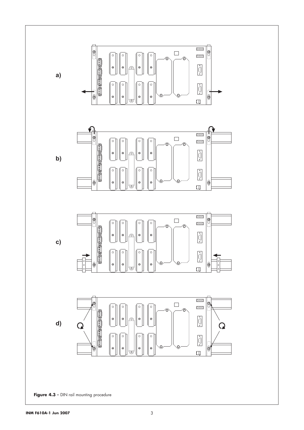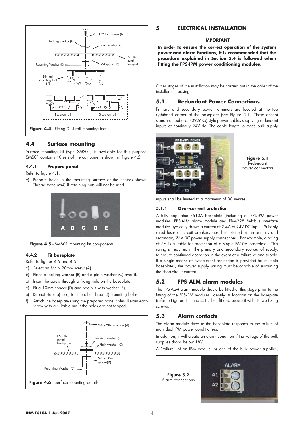

## **4.4 Surface mounting**

Surface mounting kit (type SMS01) is available for this purpose. SMS01 contains 40 sets of the components shown in Figure 4.5.

#### **4.4.1 Prepare panel**

Refer to figure 4.1.

a) Prepare holes in the mounting surface at the centres shown. Thread these (M4) if retaining nuts will not be used.



**Figure 4.5** - SMS01 mounting kit components

#### **4.4.2 Fit baseplate**

Refer to figures 4.5 and 4.6.

- a) Select an M4 x 20mm screw (A).
- b) Place a locking washer (B) and a plain washer (C) over it.
- c) Insert the screw through a fixing hole on the baseplate.
- d) Fit a 10mm spacer (D) and retain it with washer (E).
- e) Repeat steps a) to d) for the other three (3) mounting holes.
- f) Attach the baseplate using the prepared panel holes. Retain each screw with a suitable nut if the holes are not tapped.



## **5 ELECTRICAL INSTALLATION**

#### **IMPORTANT**

**In order to ensure the correct operation of the system power and alarm functions, it is recommended that the procedure explained in Section 5.4 is followed when fitting the FPS-IPM power conditioning modules**.

Other stages of the installation may be carried out in the order of the installer's choosing.

## **5.1 Redundant Power Connections**

Primary and secondary power terminals are located at the top righthand corner of the baseplate (see Figure 5.1). These accept standard Foxboro (P0926Kx) style power cables supplying redundant inputs of nominally 24V dc. The cable length to these bulk supply



inputs shall be limited to a maximum of 30 metres.

#### **5.1.1 Over-current protection**

A fully populated F610A baseplate (including all FPS-IPM power modules, FPS-ALM alarm module and FBM228 fieldbus interface modules) typically draws a current of 2.4A at 24V DC input. Suitably rated fuses or circuit breakers must be installed in the primary and secondary 24V DC power supply connections. For example, a rating of 5A is suitable for protection of a single F610A baseplate. This rating is required in the primary and secondary sources of supply, to ensure continued operation in the event of a failure of one supply. If a single means of over-current protection is provided for multiple baseplates, the power supply wiring must be capable of sustaining the short-circuit current.

## **5.2 FPS-ALM alarm modules**

The FPS-ALM alarm module should be fitted at this stage prior to the fitting of the FPS-IPM modules. Identify its location on the baseplate (refer to Figures 1.1 and 4.1), then fit and secure it with its two fixing screws.

## **5.3 Alarm contacts**

The alarm module fitted to the baseplate responds to the failure of individual IPM power conditioners.

In addition, it will create an alarm condition if the voltage of the bulk supplies drops below 18V.

A "failure" of an IPM module, or one of the bulk power supplies,

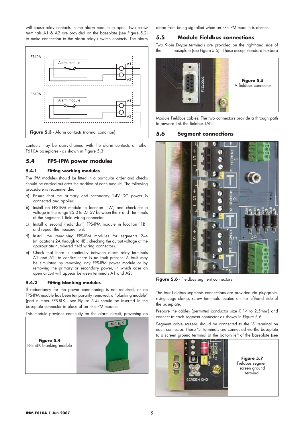will cause relay contacts in the alarm module to open. Two screw terminals A1 & A2 are provided on the baseplate (see Figure 5.2) to make connection to the alarm relay's switch contacts. The alarm



contacts may be daisy-chained with the alarm contacts on other F610A baseplates - as shown in Figure 5.3.

## **5.4 FPS-IPM power modules**

#### **5.4.1 Fitting working modules**

The IPM modules should be fitted in a particular order and checks should be carried out after the addtion of each module. The following procedure is recommended.

- a) Ensure that the primary and secondary 24V DC power is connected and applied.
- b) Install an FPS-IPM module in location '1A', and check for a voltage in the range 25.0 to 27.5V between the + and - terminals of the Segment 1 field wiring connector.
- c) Install a second (redundant) FPS-IPM module in location '1B', and repeat the measurement.
- d) Install the remaining FPS-IPM modules for segments 2–4 (in locations 2A through to 4B), checking the output voltage at the appropriate numbered field wiring connectors.
- e) Check that there is continuity between alarm relay terminals A1 and A2, to confirm there is no fault present. A fault may be simulated by removing any FPS-IPM power module or by removing the primary or secondary power, in which case an open circuit will appear between terminals A1 and A2.

#### **5.4.2 Fitting blanking modules**

If redundancy for the power conditioning is not required, or an FPS-IPM module has been temporarily removed, a "blanking module" (part number FPS-BLK - see Figure 5.4) should be inserted in the baseplate connector in place of an FPS-IPM module.

This module provides continuity for the alarm circuit, preventng an



alarm from being signalled when an FPS-IPM module is absent.

## **5.5 Module Fieldbus connections**

Two 9-pin D-type terminals are provided on the righthand side of the baseplate (see Figure 5.5). These accept standard Foxboro



Module Fieldbus cables. The two connectors provide a through path to onward link the fieldbus LAN.

## **5.6 Segment connections**



Figure 5.6 - Fieldbus segment connectors

The four fieldbus segments connections are provided via pluggable, rising cage clamp, screw terminals located on the lefthand side of the baseplate.

Prepare the cables (permitted conductor size 0.14 to 2.5mm<sup>2</sup>) and connect to each seament connector as shown in Figure 5.6.

Segment cable screens should be connected to the 'S' terminal on each connector. These 'S' terminals are connected via the baseplate to a screen ground terminal at the bottom left of the baseplate (see

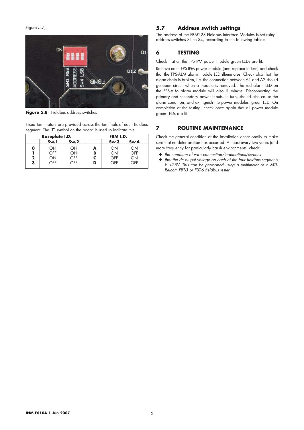Figure 5.7).



**Figure 5.8** - Fieldbus address switches

Fixed terminators are provided across the terminals of each fieldbus segment. The '**T**' symbol on the board is used to indicate this.

|             | <u>Baseplate I.D.</u> |      |   | FBM I.D. |      |  |
|-------------|-----------------------|------|---|----------|------|--|
|             | Sw.1                  | Sw.2 |   | Sw.3     | Sw.4 |  |
| 0           | ON                    | ОN   | A | ON       | ON   |  |
|             | OFF                   | ОN   | в | ON       | OFF  |  |
| $\mathbf 2$ | ΟN                    | OFF  |   | OFF      | ON   |  |
| 3           | OFF                   | OFF  | D | OFF      | OFF  |  |
|             |                       |      |   |          |      |  |

## **5.7 Address switch settings**

The address of the FBM228 Fieldbus Interface Modules is set using address switches S1 to S4, according to the following tables:

## **6 TESTING**

Check that all the FPS-IPM power module green LEDs are lit.

Remove each FPS-IPM power module (and replace in turn) and check that the FPS-ALM alarm module LED illuminates. Check also that the alarm chain is broken, i.e. the connection between A1 and A2 should go open circuit when a module is removed. The red alarm LED on the FPS-ALM alarm module will also illuminate. Disconnecting the primary and secondary power inputs, in turn, should also cause the alarm condition, and extinguish the power modules' green LED. On completion of the testing, check once again that all power module green LEDs are lit.

## **7 ROUTINE MAINTENANCE**

Check the general condition of the installation occasionally to make sure that no deterioration has occurred. At least every two years (and more frequently for particularly harsh environments) check:

- ◆ *the condition of wire connection/terminations/screens*
- ◆ *that the dc output voltage on each of the four fieldbus segments is >25V. This can be performed using a multimeter or a MTL-Relcom FBT-3 or FBT-6 fieldbus tester*